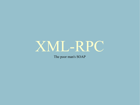

The poor man's SOAP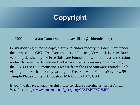# **Copyright**

© 2001, 2009 Adam Tauno Williams (awilliam@whitemice.org)

Permission is granted to copy, distribute and/or modify this document under the terms of the GNU Free Documentation License, Version 1.1 or any later version published by the Free Software Foundation with no Invariant Sections, no Front-Cover Texts, and no Back-Cover Texts. You may obtain a copy of the GNU Free Documentation License from the Free Software Foundation by visiting their Web site or by writing to: Free Software Foundation, Inc., 59 Temple Place - Suite 330, Boston, MA 02111-1307, USA.

If you find this presentation useful please consider supporting us via our Amazon Wish List: <http://www.amazon.com/gp/registry/2ESESBPDXUMDP>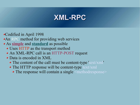# **XML-RPC**

Codified in April 1998

- An RPC method for providing web services
- As **simple** and **standard** as possible
	- Uses HTTP as the transport method
	- An XML-RPC call is an HTTP-POST request
	- Data is encoded in XML
		- The content of the call must be content-type 'text/xml'
		- The HTTP response will be content-type text/xml
			- $\rightarrow$  The response will contain a single  $\leq$  methodresponse $\geq$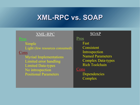# **XML-RPC vs. SOAP**

#### XML-RPC

Simple Light (few resources consumed)

#### **Cons**

Myriad Implementations Limited error handling Limited Data-types No introspection Positional Parameters

#### **SOAP**

#### Pros Fast Consistent Introspection Named Parameters Complex Data-types Rich Toolchain

#### Cons

Dependencies **Complex**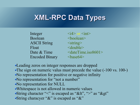# **XML-RPC Data Types**

Integer  $\langle i4 \rangle$  or  $\langle in1 \rangle$ Boolean <br/>boolean> ASCII String  $\leq$ string Float <double> Encoded Binary <br/>base64>

Date & Time  $\leq$  date Time.iso 8601>

Leading zeros on integer responses are dropped •The sign on numeric valus must precede the value (-100 vs. 100-) No representation for positive or negative infinity No representation for "not a number" No representation for NULL Whitespace is not allowed in numeric values String character "<" is escaped as "&lt", ">" as "&gt" String characyer "&" is escaped as "&"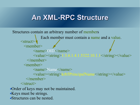# **An XML-RPC Structure**

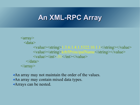# **An XML-RPC Array**

```
\langle \text{array} \rangle <data>
               \langle \text{value}\rangle \langle \text{string} \rangle 1.3.6.1.4.1.5322.10.1.1 \langle \text{string}\rangle \langle \text{value}\rangle <value><string>krb5PrincipalName</string></value>
               \langle \text{value}\rangle \langle \text{int}\rangle -31 \langle \text{int}\rangle \langle \text{value}\rangle\langledata\rangle\langlearray>
```
An array may not maintain the order of the values. An array may contain mixed data types. Arrays can be nested.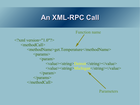### **An XML-RPC Call**



Parameters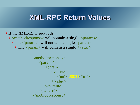### **XML-RPC Return Values**

- If the XML-RPC succeeds
	- $\rightarrow$   $\leq$  methodresponse $>$  will contain a single  $\leq$  params $>$ 
		- $\blacktriangleright$  The  $\leq$  params $\geq$  will contain a single  $\leq$  param $\geq$ 
			- $\blacktriangleright$  The  $\leq$  param $\geq$  will contain a single  $\leq$  value $\geq$

<methodresponse>  $<$ params $>$  $<$ param $>$ <value>  $\frac{10003}{\frac{1}{2}}$  $\langle \text{value} \rangle$ </param> </params> </methodresponse>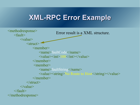# **XML-RPC Error Example**

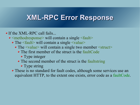### **XML-RPC Error Response**

#### • If the XML-RPC call fails...

- $\rightarrow$   $\leq$  methodresponse $>$  will contain a single  $\leq$  fault $>$ 
	- $\triangle$  The  $\le$  fault $\ge$  will contain a single  $\le$  value $\ge$ 
		- The <value> will contain a single two member <struct>
			- The first member of the struct is the faultCode
				- Type integer
			- The second member of the struct is the faultstring
				- Type string
	- These is no standard for fault codes, although some services use an equivalent HTTP, to the extent one exists, error code as a faultCode.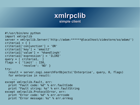### **xmlrpclib simple client**

```
#!/usr/bin/env python
import xmlrpclib
server = xmlrpclib.Server('http://adam:******@localhost/zidestore/so/adam/')
criterial = \{ \}criteria1['conjunction'] = 'OR'
criteria1['key'] = 'email2'
criteria1['value'] = '%handling%'
criteria1['expression'] = 'ILIKE'
query = \int criterial,
flags = \{ 'limit' : 150,
           'revolve': 'NO' }
try:
   result = server.zogi.searchForObjects('Enterprise', query, 0, flags)
   for enterprise in result:
 ...
except xmlrpclib.Fault, err:
   print "Fault code: %d" % err.faultCode
   print "Fault string: %s" % err.faultString
except xmlrpclib.ProtocolError, err:
   print "Error code: %d" % err.errcode
   print "Error message: %s" % err.errmsg
```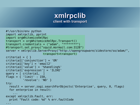### **xmlrpclib client with transport**

```
#!/usr/bin/env python
import xmlrpclib, pprint
import orgWhitemiceXmlRpc
transport = orgWhitemiceXmlRpc.Transport()
transport.credentials = ("adam", "********")
#transport.set_proxy("squid.mormail.com:3128")
server = xmlrpclib.ServerProxy("http://opengroupware/zidestore/so/adam/",
                       transport=transport)
criterial = \{ \}criteria1['conjunction'] = 'OR'
criteria1['key'] = 'email2'
criteria1['value'] = '%handling%'
criteria1['expression'] = 'ILIKE'
query = [ criterial,
flags = { 'limit' : 150,
           'revolve': 'NO' }
try:
   result = server.zogi.searchForObjects('Enterprise', query, 0, flags)
   for enterprise in result:
 ...
except xmlrpclib.Fault, err:
   print "Fault code: %d" % err.faultCode
...
```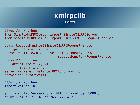#### **xmlrpclib server**

```
#!/usr/bin/python
from SimpleXMLRPCServer import SimpleXMLRPCServer
from SimpleXMLRPCServer import SimpleXMLRPCRequestHandler
class RequestHandler(SimpleXMLRPCRequestHandler):
    rpc paths = ('/RPC2',)server = SimpleXMLRPCServer(("localhost", 8000),
                              requestHandler=RequestHandler)
class RPCFunctions:
     def div(self, x, y):
         return x // y
server.register_instance(RPCFunctions())
server.serve forever()
#!/usr/bin/python
import xmlrpclib
s = xmlrpclib.ServerProxy('http://localhost:8000')
```

```
print s.div(5,2) # Returns 5//2 = 2
```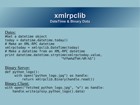#### **xmlrpclib DateTime & Binary Data**

#### Dates:

#Get a datetime object  $today = datetime.data$ # Make an XML-RPC datetime xmlrpctoday = xmlrpclib.DateTime(today) # Make a datetime from an XML-RPC datetime print datetime.datetime.strptime(xmlrpctoday.value, "%Y%m%dT%H:%M:%S")

Binary Server: def python logo(): with open("python logo.jpg") as handle: return xmlrpclib.Binary(handle.read()) Binary Client: with open("fetched python logo.jpg", "w") as handle: handle.write(proxy.python\_logo().data)